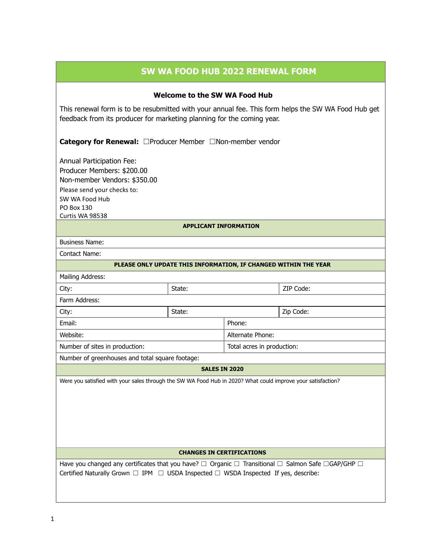## **SW WA FOOD HUB 2022 RENEWAL FORM**

## **Welcome to the SW WA Food Hub**

This renewal form is to be resubmitted with your annual fee. This form helps the SW WA Food Hub get feedback from its producer for marketing planning for the coming year.

**Category for Renewal:** ☐Producer Member ☐Non-member vendor

Annual Participation Fee: Producer Members: \$200.00 Non-member Vendors: \$350.00 Please send your checks to: SW WA Food Hub PO Box 130 Curtis WA 98538

#### **APPLICANT INFORMATION**

| Business Name:                                                  |  |        |        |           |
|-----------------------------------------------------------------|--|--------|--------|-----------|
| Contact Name:                                                   |  |        |        |           |
| PLEASE ONLY UPDATE THIS INFORMATION, IF CHANGED WITHIN THE YEAR |  |        |        |           |
| Mailing Address:                                                |  |        |        |           |
| City:                                                           |  | State: |        | ZIP Code: |
| Farm Address:                                                   |  |        |        |           |
| City:                                                           |  | State: |        | Zip Code: |
| Email:                                                          |  |        | Phone: |           |
|                                                                 |  |        |        |           |

Number of sites in production:  $\vert$  Total acres in production:

Website: Website:

Number of greenhouses and total square footage:

#### **SALES IN 2020**

Were you satisfied with your sales through the SW WA Food Hub in 2020? What could improve your satisfaction?

## **CHANGES IN CERTIFICATIONS**

Have you changed any certificates that you have?  $□$  Organic  $□$  Transitional  $□$  Salmon Safe  $□$ GAP/GHP  $□$ Certified Naturally Grown  $\Box$  IPM  $\Box$  USDA Inspected  $\Box$  WSDA Inspected If yes, describe: